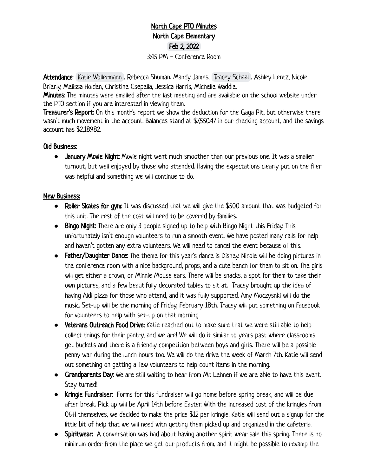## North Cape PTO Minutes North Cape Elementary Feb 2, 2022 3:45 PM - Conference Room

Attendance: [Katie Wollermann](mailto:katie.wollermann@gmail.com) , Rebecca Shuman, Mandy James, [Tracey Schaal](mailto:traceyschaal@gmail.com) , Ashley Lentz, Nicole Brierly, Melissa Holden, Christine Csepella, Jessica Harris, Michelle Waddle.

**Minutes:** The minutes were emailed after the last meeting and are available on the school website under the PTO section if you are interested in viewing them.

Treasurer's Report: On this month's report we show the deduction for the Gaga Pit, but otherwise there wasn't much movement in the account. Balances stand at \$7,550.47 in our checking account, and the savings account has \$2,189.82.

## Old Business:

**●** January Movie Night: Movie night went much smoother than our previous one. It was a smaller turnout, but well enjoyed by those who attended. Having the expectations clearly put on the flier was helpful and something we will continue to do.

## New Business:

- **●** Roller Skates for gym: It was discussed that we will give the \$500 amount that was budgeted for this unit. The rest of the cost will need to be covered by families.
- **●** Bingo Night: There are only 3 people signed up to help with Bingo Night this Friday. This unfortunately isn't enough volunteers to run a smooth event. We have posted many calls for help and haven't gotten any extra volunteers. We will need to cancel the event because of this.
- **●** Father/Daughter Dance: The theme for this year's dance is Disney. Nicole will be doing pictures in the conference room with a nice background, props, and a cute bench for them to sit on. The girls will get either a crown, or Minnie Mouse ears. There will be snacks, a spot for them to take their own pictures, and a few beautifully decorated tables to sit at. Tracey brought up the idea of having Aldi pizza for those who attend, and it was fully supported. Amy Moczysnki will do the music. Set-up will be the morning of Friday, February 18th. Tracey will put something on Facebook for volunteers to help with set-up on that morning.
- **●** Veterans Outreach Food Drive: Katie reached out to make sure that we were still able to help collect things for their pantry, and we are! We will do it similar to years past where classrooms get buckets and there is a friendly competition between boys and girls. There will be a possible penny war during the lunch hours too. We will do the drive the week of March 7th. Katie will send out something on getting a few volunteers to help count items in the morning.
- **●** Grandparents Day: We are still waiting to hear from Mr. Lehnen if we are able to have this event. Stay turned!
- **●** Kringle Fundraiser: Forms for this fundraiser will go home before spring break, and will be due after break. Pick up will be April 14th before Easter. With the increased cost of the kringles from O&H themselves, we decided to make the price \$12 per kringle. Katie will send out a signup for the little bit of help that we will need with getting them picked up and organized in the cafeteria.
- **●** Spiritwear: A conversation was had about having another spirit wear sale this spring. There is no minimum order from the place we get our products from, and it might be possible to revamp the